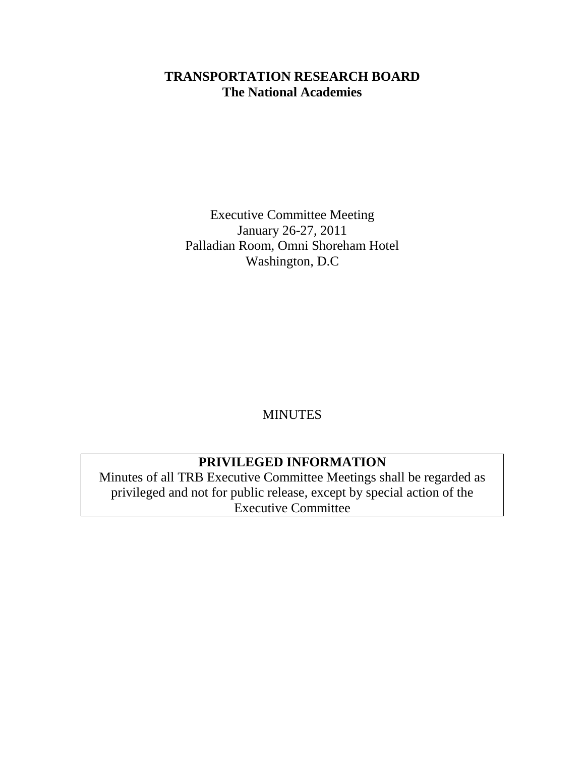# **TRANSPORTATION RESEARCH BOARD The National Academies**

Executive Committee Meeting January 26-27, 2011 Palladian Room, Omni Shoreham Hotel Washington, D.C

MINUTES

# **PRIVILEGED INFORMATION**

Minutes of all TRB Executive Committee Meetings shall be regarded as privileged and not for public release, except by special action of the Executive Committee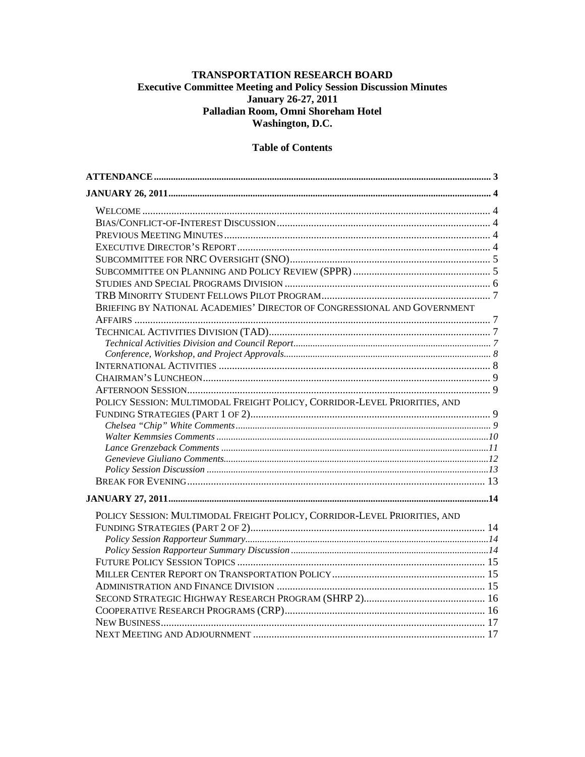## TRANSPORTATION RESEARCH BOARD **Executive Committee Meeting and Policy Session Discussion Minutes** January 26-27, 2011 Palladian Room, Omni Shoreham Hotel Washington, D.C.

## **Table of Contents**

| BRIEFING BY NATIONAL ACADEMIES' DIRECTOR OF CONGRESSIONAL AND GOVERNMENT  |  |
|---------------------------------------------------------------------------|--|
|                                                                           |  |
|                                                                           |  |
|                                                                           |  |
|                                                                           |  |
|                                                                           |  |
|                                                                           |  |
|                                                                           |  |
| POLICY SESSION: MULTIMODAL FREIGHT POLICY, CORRIDOR-LEVEL PRIORITIES, AND |  |
|                                                                           |  |
|                                                                           |  |
|                                                                           |  |
|                                                                           |  |
|                                                                           |  |
|                                                                           |  |
|                                                                           |  |
|                                                                           |  |
| POLICY SESSION: MULTIMODAL FREIGHT POLICY, CORRIDOR-LEVEL PRIORITIES, AND |  |
|                                                                           |  |
|                                                                           |  |
|                                                                           |  |
|                                                                           |  |
|                                                                           |  |
|                                                                           |  |
|                                                                           |  |
|                                                                           |  |
|                                                                           |  |
|                                                                           |  |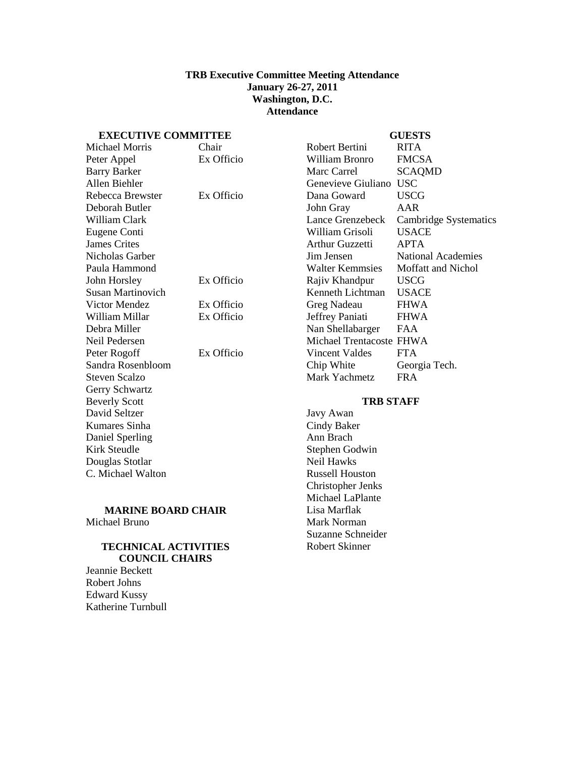#### **TRB Executive Committee Meeting Attendance January 26-27, 2011 Washington, D.C. Attendance**

## <span id="page-2-0"></span>**EXECUTIVE COMMITTEE**

## **GUESTS**

| емесстте соммитер        |            |                          | uvwiv                        |
|--------------------------|------------|--------------------------|------------------------------|
| <b>Michael Morris</b>    | Chair      | Robert Bertini           | <b>RITA</b>                  |
| Peter Appel              | Ex Officio | William Bronro           | <b>FMCSA</b>                 |
| <b>Barry Barker</b>      |            | Marc Carrel              | <b>SCAQMD</b>                |
| Allen Biehler            |            | Genevieve Giuliano       | <b>USC</b>                   |
| Rebecca Brewster         | Ex Officio | Dana Goward              | <b>USCG</b>                  |
| Deborah Butler           |            | John Gray                | AAR                          |
| William Clark            |            | Lance Grenzebeck         | <b>Cambridge Systematics</b> |
| Eugene Conti             |            | William Grisoli          | <b>USACE</b>                 |
| <b>James Crites</b>      |            | <b>Arthur Guzzetti</b>   | <b>APTA</b>                  |
| Nicholas Garber          |            | Jim Jensen               | <b>National Academies</b>    |
| Paula Hammond            |            | <b>Walter Kemmsies</b>   | Moffatt and Nichol           |
| John Horsley             | Ex Officio | Rajiv Khandpur           | <b>USCG</b>                  |
| <b>Susan Martinovich</b> |            | Kenneth Lichtman         | <b>USACE</b>                 |
| Victor Mendez            | Ex Officio | Greg Nadeau              | <b>FHWA</b>                  |
| William Millar           | Ex Officio | Jeffrey Paniati          | <b>FHWA</b>                  |
| Debra Miller             |            | Nan Shellabarger         | <b>FAA</b>                   |
| Neil Pedersen            |            | Michael Trentacoste FHWA |                              |
| Peter Rogoff             | Ex Officio | Vincent Valdes           | <b>FTA</b>                   |
| Sandra Rosenbloom        |            | Chip White               | Georgia Tech.                |
| <b>Steven Scalzo</b>     |            | Mark Yachmetz            | <b>FRA</b>                   |
| Gerry Schwartz           |            |                          |                              |
| <b>Beverly Scott</b>     |            | <b>TRB STAFF</b>         |                              |
| David Seltzer            |            | Javy Awan                |                              |
| Kumares Sinha            |            | Cindy Baker              |                              |
| Daniel Sperling          |            | Ann Brach                |                              |
| <b>Kirk Steudle</b>      |            | Stephen Godwin           |                              |
| Douglas Stotlar          |            | Neil Hawks               |                              |
| C. Michael Walton        |            | <b>Russell Houston</b>   |                              |
|                          |            | Christopher Jenks        |                              |

#### **MARINE BOARD CHAIR** Michael Bruno

#### **TECHNICAL ACTIVITIES COUNCIL CHAIRS**

Jeannie Beckett Robert Johns Edward Kussy Katherine Turnbull

Christopher Jenks Michael LaPlante Lisa Marflak Mark Norman Suzanne Schneider Robert Skinner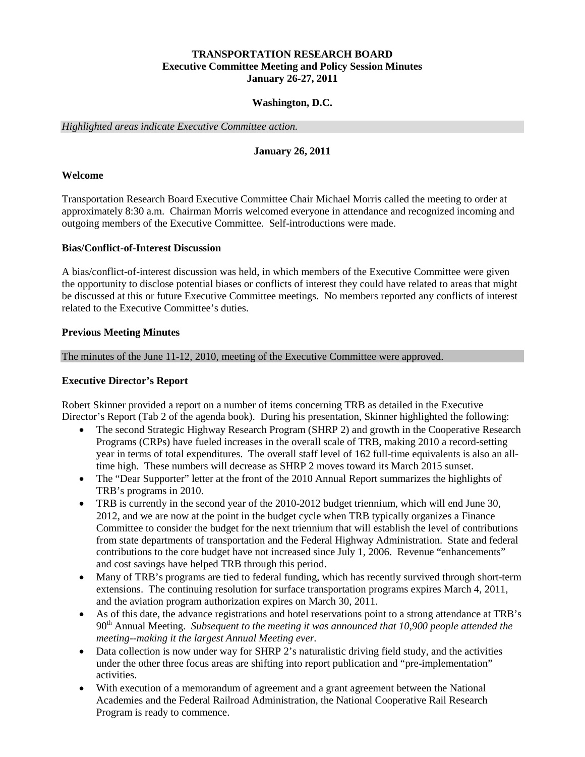## **TRANSPORTATION RESEARCH BOARD Executive Committee Meeting and Policy Session Minutes January 26-27, 2011**

## **Washington, D.C.**

<span id="page-3-0"></span>*Highlighted areas indicate Executive Committee action.*

### **January 26, 2011**

#### <span id="page-3-1"></span>**Welcome**

Transportation Research Board Executive Committee Chair Michael Morris called the meeting to order at approximately 8:30 a.m. Chairman Morris welcomed everyone in attendance and recognized incoming and outgoing members of the Executive Committee. Self-introductions were made.

#### <span id="page-3-2"></span>**Bias/Conflict-of-Interest Discussion**

A bias/conflict-of-interest discussion was held, in which members of the Executive Committee were given the opportunity to disclose potential biases or conflicts of interest they could have related to areas that might be discussed at this or future Executive Committee meetings. No members reported any conflicts of interest related to the Executive Committee's duties.

#### <span id="page-3-3"></span>**Previous Meeting Minutes**

The minutes of the June 11-12, 2010, meeting of the Executive Committee were approved.

#### <span id="page-3-4"></span>**Executive Director's Report**

Robert Skinner provided a report on a number of items concerning TRB as detailed in the Executive Director's Report (Tab 2 of the agenda book). During his presentation, Skinner highlighted the following:

- The second Strategic Highway Research Program (SHRP 2) and growth in the Cooperative Research Programs (CRPs) have fueled increases in the overall scale of TRB, making 2010 a record-setting year in terms of total expenditures. The overall staff level of 162 full-time equivalents is also an alltime high. These numbers will decrease as SHRP 2 moves toward its March 2015 sunset.
- The "Dear Supporter" letter at the front of the 2010 Annual Report summarizes the highlights of TRB's programs in 2010.
- TRB is currently in the second year of the 2010-2012 budget triennium, which will end June 30, 2012, and we are now at the point in the budget cycle when TRB typically organizes a Finance Committee to consider the budget for the next triennium that will establish the level of contributions from state departments of transportation and the Federal Highway Administration. State and federal contributions to the core budget have not increased since July 1, 2006. Revenue "enhancements" and cost savings have helped TRB through this period.
- Many of TRB's programs are tied to federal funding, which has recently survived through short-term extensions. The continuing resolution for surface transportation programs expires March 4, 2011, and the aviation program authorization expires on March 30, 2011.
- As of this date, the advance registrations and hotel reservations point to a strong attendance at TRB's 90th Annual Meeting. *Subsequent to the meeting it was announced that 10,900 people attended the meeting--making it the largest Annual Meeting ever.*
- Data collection is now under way for SHRP 2's naturalistic driving field study, and the activities under the other three focus areas are shifting into report publication and "pre-implementation" activities.
- With execution of a memorandum of agreement and a grant agreement between the National Academies and the Federal Railroad Administration, the National Cooperative Rail Research Program is ready to commence.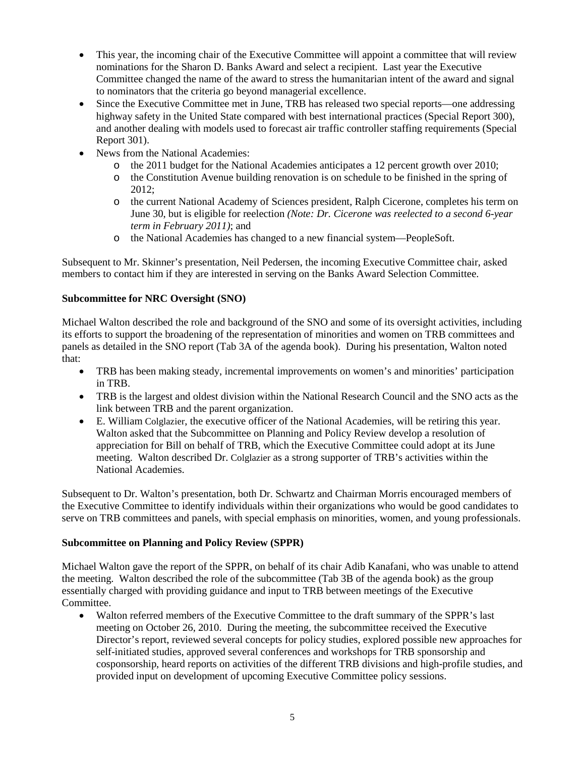- This year, the incoming chair of the Executive Committee will appoint a committee that will review nominations for the Sharon D. Banks Award and select a recipient. Last year the Executive Committee changed the name of the award to stress the humanitarian intent of the award and signal to nominators that the criteria go beyond managerial excellence.
- Since the Executive Committee met in June, TRB has released two special reports—one addressing highway safety in the United State compared with best international practices (Special Report 300), and another dealing with models used to forecast air traffic controller staffing requirements (Special Report 301).
- News from the National Academies:
	- o the 2011 budget for the National Academies anticipates a 12 percent growth over 2010;
	- o the Constitution Avenue building renovation is on schedule to be finished in the spring of 2012;
	- o the current National Academy of Sciences president, Ralph Cicerone, completes his term on June 30, but is eligible for reelection *(Note: Dr. Cicerone was reelected to a second 6-year term in February 2011)*; and
	- o the National Academies has changed to a new financial system—PeopleSoft.

Subsequent to Mr. Skinner's presentation, Neil Pedersen, the incoming Executive Committee chair, asked members to contact him if they are interested in serving on the Banks Award Selection Committee.

## <span id="page-4-0"></span>**Subcommittee for NRC Oversight (SNO)**

Michael Walton described the role and background of the SNO and some of its oversight activities, including its efforts to support the broadening of the representation of minorities and women on TRB committees and panels as detailed in the SNO report (Tab 3A of the agenda book). During his presentation, Walton noted that:

- TRB has been making steady, incremental improvements on women's and minorities' participation in TRB.
- TRB is the largest and oldest division within the National Research Council and the SNO acts as the link between TRB and the parent organization.
- E. William Colglazier, the executive officer of the National Academies, will be retiring this year. Walton asked that the Subcommittee on Planning and Policy Review develop a resolution of appreciation for Bill on behalf of TRB, which the Executive Committee could adopt at its June meeting. Walton described Dr. Colglazier as a strong supporter of TRB's activities within the National Academies.

Subsequent to Dr. Walton's presentation, both Dr. Schwartz and Chairman Morris encouraged members of the Executive Committee to identify individuals within their organizations who would be good candidates to serve on TRB committees and panels, with special emphasis on minorities, women, and young professionals.

## <span id="page-4-1"></span>**Subcommittee on Planning and Policy Review (SPPR)**

Michael Walton gave the report of the SPPR, on behalf of its chair Adib Kanafani, who was unable to attend the meeting. Walton described the role of the subcommittee (Tab 3B of the agenda book) as the group essentially charged with providing guidance and input to TRB between meetings of the Executive Committee.

• Walton referred members of the Executive Committee to the draft summary of the SPPR's last meeting on October 26, 2010. During the meeting, the subcommittee received the Executive Director's report, reviewed several concepts for policy studies, explored possible new approaches for self-initiated studies, approved several conferences and workshops for TRB sponsorship and cosponsorship, heard reports on activities of the different TRB divisions and high-profile studies, and provided input on development of upcoming Executive Committee policy sessions.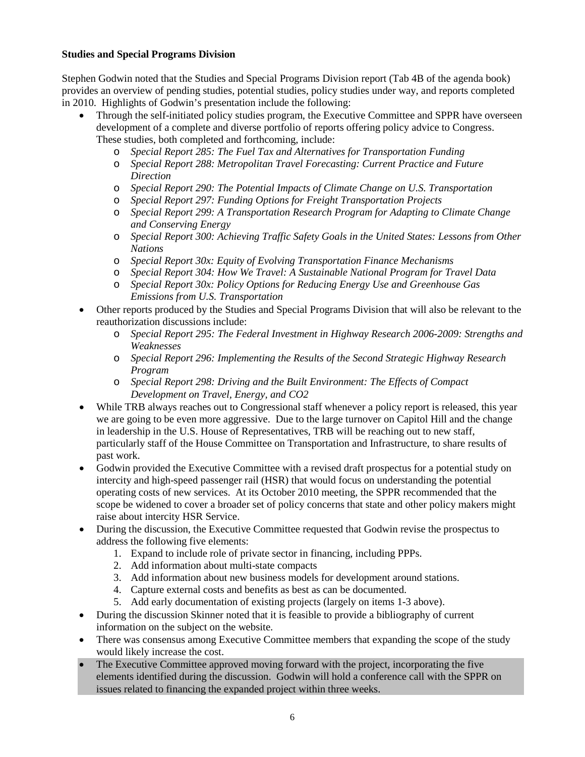## <span id="page-5-0"></span>**Studies and Special Programs Division**

Stephen Godwin noted that the Studies and Special Programs Division report (Tab 4B of the agenda book) provides an overview of pending studies, potential studies, policy studies under way, and reports completed in 2010. Highlights of Godwin's presentation include the following:

- Through the self-initiated policy studies program, the Executive Committee and SPPR have overseen development of a complete and diverse portfolio of reports offering policy advice to Congress. These studies, both completed and forthcoming, include:
	- o *Special Report 285: The Fuel Tax and Alternatives for Transportation Funding*
	- o *Special Report 288: Metropolitan Travel Forecasting: Current Practice and Future Direction*
	- o *Special Report 290: The Potential Impacts of Climate Change on U.S. Transportation*
	- o *Special Report 297: Funding Options for Freight Transportation Projects*
	- o *Special Report 299: A Transportation Research Program for Adapting to Climate Change and Conserving Energy*
	- o *Special Report 300: Achieving Traffic Safety Goals in the United States: Lessons from Other Nations*
	- o *Special Report 30x: Equity of Evolving Transportation Finance Mechanisms*
	- o *Special Report 304: How We Travel: A Sustainable National Program for Travel Data*
	- o *Special Report 30x: Policy Options for Reducing Energy Use and Greenhouse Gas Emissions from U.S. Transportation*
- Other reports produced by the Studies and Special Programs Division that will also be relevant to the reauthorization discussions include:
	- o *Special Report 295: The Federal Investment in Highway Research 2006-2009: Strengths and Weaknesses*
	- o *Special Report 296: Implementing the Results of the Second Strategic Highway Research Program*
	- o *Special Report 298: Driving and the Built Environment: The Effects of Compact Development on Travel, Energy, and CO2*
- While TRB always reaches out to Congressional staff whenever a policy report is released, this year we are going to be even more aggressive. Due to the large turnover on Capitol Hill and the change in leadership in the U.S. House of Representatives, TRB will be reaching out to new staff, particularly staff of the House Committee on Transportation and Infrastructure, to share results of past work.
- Godwin provided the Executive Committee with a revised draft prospectus for a potential study on intercity and high-speed passenger rail (HSR) that would focus on understanding the potential operating costs of new services. At its October 2010 meeting, the SPPR recommended that the scope be widened to cover a broader set of policy concerns that state and other policy makers might raise about intercity HSR Service.
- During the discussion, the Executive Committee requested that Godwin revise the prospectus to address the following five elements:
	- 1. Expand to include role of private sector in financing, including PPPs.
	- 2. Add information about multi-state compacts
	- 3. Add information about new business models for development around stations.
	- 4. Capture external costs and benefits as best as can be documented.
	- 5. Add early documentation of existing projects (largely on items 1-3 above).
- During the discussion Skinner noted that it is feasible to provide a bibliography of current information on the subject on the website.
- There was consensus among Executive Committee members that expanding the scope of the study would likely increase the cost.
- The Executive Committee approved moving forward with the project, incorporating the five elements identified during the discussion. Godwin will hold a conference call with the SPPR on issues related to financing the expanded project within three weeks.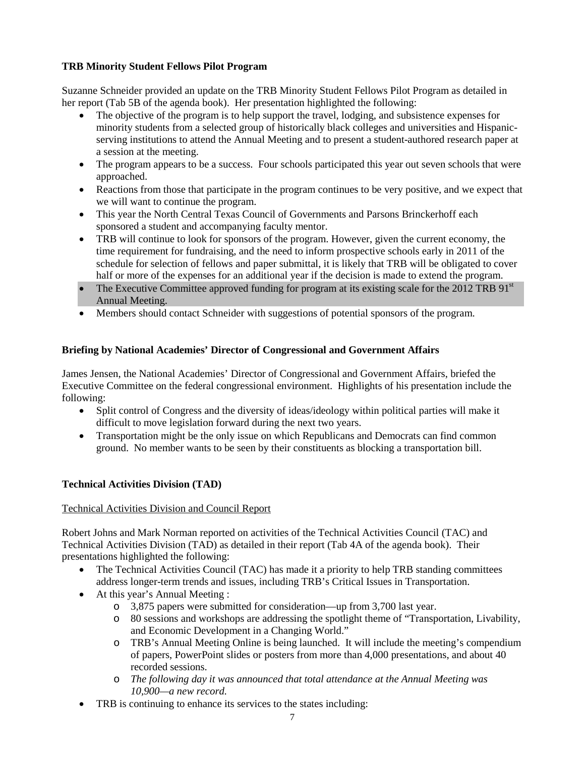## <span id="page-6-0"></span>**TRB Minority Student Fellows Pilot Program**

Suzanne Schneider provided an update on the TRB Minority Student Fellows Pilot Program as detailed in her report (Tab 5B of the agenda book). Her presentation highlighted the following:

- The objective of the program is to help support the travel, lodging, and subsistence expenses for minority students from a selected group of historically black colleges and universities and Hispanicserving institutions to attend the Annual Meeting and to present a student-authored research paper at a session at the meeting.
- The program appears to be a success. Four schools participated this year out seven schools that were approached.
- Reactions from those that participate in the program continues to be very positive, and we expect that we will want to continue the program.
- This year the North Central Texas Council of Governments and Parsons Brinckerhoff each sponsored a student and accompanying faculty mentor.
- TRB will continue to look for sponsors of the program. However, given the current economy, the time requirement for fundraising, and the need to inform prospective schools early in 2011 of the schedule for selection of fellows and paper submittal, it is likely that TRB will be obligated to cover half or more of the expenses for an additional year if the decision is made to extend the program.
- The Executive Committee approved funding for program at its existing scale for the 2012 TRB 91<sup>st</sup> Annual Meeting.
- Members should contact Schneider with suggestions of potential sponsors of the program.

## <span id="page-6-1"></span>**Briefing by National Academies' Director of Congressional and Government Affairs**

James Jensen, the National Academies' Director of Congressional and Government Affairs, briefed the Executive Committee on the federal congressional environment. Highlights of his presentation include the following:

- Split control of Congress and the diversity of ideas/ideology within political parties will make it difficult to move legislation forward during the next two years.
- Transportation might be the only issue on which Republicans and Democrats can find common ground. No member wants to be seen by their constituents as blocking a transportation bill.

## <span id="page-6-2"></span>**Technical Activities Division (TAD)**

## <span id="page-6-3"></span>Technical Activities Division and Council Report

Robert Johns and Mark Norman reported on activities of the Technical Activities Council (TAC) and Technical Activities Division (TAD) as detailed in their report (Tab 4A of the agenda book). Their presentations highlighted the following:

- The Technical Activities Council (TAC) has made it a priority to help TRB standing committees address longer-term trends and issues, including TRB's Critical Issues in Transportation.
- At this year's Annual Meeting :
	- o 3,875 papers were submitted for consideration—up from 3,700 last year.
	- o 80 sessions and workshops are addressing the spotlight theme of "Transportation, Livability, and Economic Development in a Changing World."
	- o TRB's Annual Meeting Online is being launched. It will include the meeting's compendium of papers, PowerPoint slides or posters from more than 4,000 presentations, and about 40 recorded sessions.
	- o *The following day it was announced that total attendance at the Annual Meeting was 10,900—a new record.*
- TRB is continuing to enhance its services to the states including: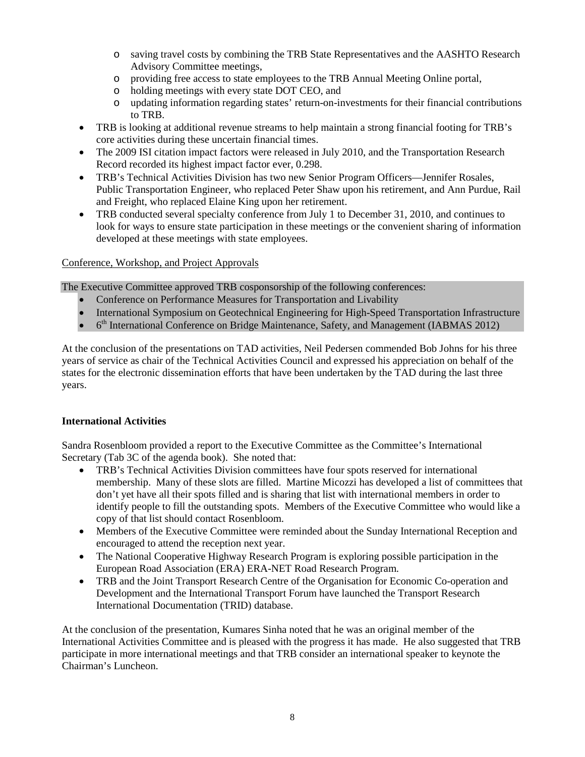- o saving travel costs by combining the TRB State Representatives and the AASHTO Research Advisory Committee meetings,
- o providing free access to state employees to the TRB Annual Meeting Online portal,
- o holding meetings with every state DOT CEO, and
- o updating information regarding states' return-on-investments for their financial contributions to TRB.
- TRB is looking at additional revenue streams to help maintain a strong financial footing for TRB's core activities during these uncertain financial times.
- The 2009 ISI citation impact factors were released in July 2010, and the Transportation Research Record recorded its highest impact factor ever, 0.298.
- TRB's Technical Activities Division has two new Senior Program Officers—Jennifer Rosales, Public Transportation Engineer, who replaced Peter Shaw upon his retirement, and Ann Purdue, Rail and Freight, who replaced Elaine King upon her retirement.
- TRB conducted several specialty conference from July 1 to December 31, 2010, and continues to look for ways to ensure state participation in these meetings or the convenient sharing of information developed at these meetings with state employees.

## <span id="page-7-0"></span>Conference, Workshop, and Project Approvals

The Executive Committee approved TRB cosponsorship of the following conferences:

- Conference on Performance Measures for Transportation and Livability
- International Symposium on Geotechnical Engineering for High-Speed Transportation Infrastructure
- 6<sup>th</sup> International Conference on Bridge Maintenance, Safety, and Management (IABMAS 2012)

At the conclusion of the presentations on TAD activities, Neil Pedersen commended Bob Johns for his three years of service as chair of the Technical Activities Council and expressed his appreciation on behalf of the states for the electronic dissemination efforts that have been undertaken by the TAD during the last three years.

#### <span id="page-7-1"></span>**International Activities**

Sandra Rosenbloom provided a report to the Executive Committee as the Committee's International Secretary (Tab 3C of the agenda book). She noted that:

- TRB's Technical Activities Division committees have four spots reserved for international membership. Many of these slots are filled. Martine Micozzi has developed a list of committees that don't yet have all their spots filled and is sharing that list with international members in order to identify people to fill the outstanding spots. Members of the Executive Committee who would like a copy of that list should contact Rosenbloom.
- Members of the Executive Committee were reminded about the Sunday International Reception and encouraged to attend the reception next year.
- The National Cooperative Highway Research Program is exploring possible participation in the European Road Association (ERA) ERA-NET Road Research Program.
- TRB and the Joint Transport Research Centre of the Organisation for Economic Co-operation and Development and the International Transport Forum have launched the Transport Research International Documentation (TRID) database.

At the conclusion of the presentation, Kumares Sinha noted that he was an original member of the International Activities Committee and is pleased with the progress it has made. He also suggested that TRB participate in more international meetings and that TRB consider an international speaker to keynote the Chairman's Luncheon.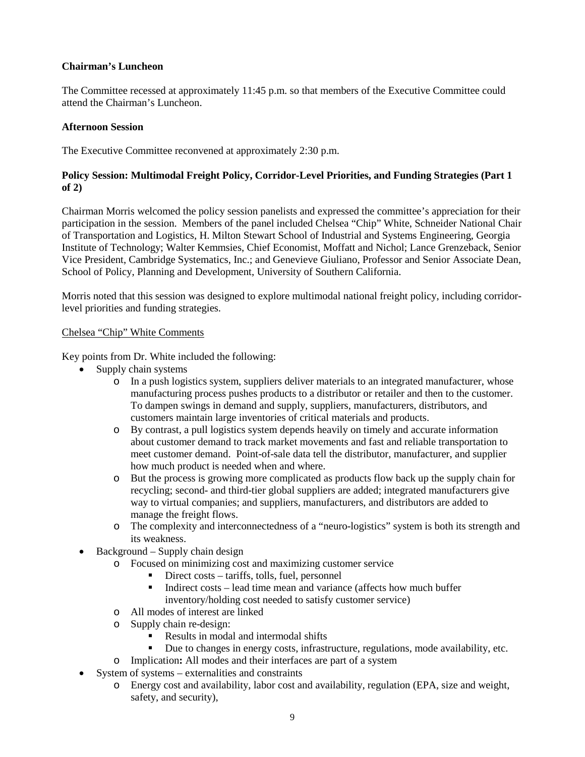### <span id="page-8-0"></span>**Chairman's Luncheon**

The Committee recessed at approximately 11:45 p.m. so that members of the Executive Committee could attend the Chairman's Luncheon.

## <span id="page-8-1"></span>**Afternoon Session**

The Executive Committee reconvened at approximately 2:30 p.m.

## <span id="page-8-2"></span>**Policy Session: Multimodal Freight Policy, Corridor-Level Priorities, and Funding Strategies (Part 1 of 2)**

Chairman Morris welcomed the policy session panelists and expressed the committee's appreciation for their participation in the session. Members of the panel included Chelsea "Chip" White, Schneider National Chair of Transportation and Logistics, H. Milton Stewart School of Industrial and Systems Engineering, Georgia Institute of Technology; Walter Kemmsies, Chief Economist, Moffatt and Nichol; Lance Grenzeback, Senior Vice President, Cambridge Systematics, Inc.; and Genevieve Giuliano, Professor and Senior Associate Dean, School of Policy, Planning and Development, University of Southern California.

Morris noted that this session was designed to explore multimodal national freight policy, including corridorlevel priorities and funding strategies.

#### <span id="page-8-3"></span>Chelsea "Chip" White Comments

Key points from Dr. White included the following:

- Supply chain systems
	- o In a push logistics system, suppliers deliver materials to an integrated manufacturer, whose manufacturing process pushes products to a distributor or retailer and then to the customer. To dampen swings in demand and supply, suppliers, manufacturers, distributors, and customers maintain large inventories of critical materials and products.
	- o By contrast, a pull logistics system depends heavily on timely and accurate information about customer demand to track market movements and fast and reliable transportation to meet customer demand. Point-of-sale data tell the distributor, manufacturer, and supplier how much product is needed when and where.
	- o But the process is growing more complicated as products flow back up the supply chain for recycling; second- and third-tier global suppliers are added; integrated manufacturers give way to virtual companies; and suppliers, manufacturers, and distributors are added to manage the freight flows.
	- o The complexity and interconnectedness of a "neuro-logistics" system is both its strength and its weakness.
- Background Supply chain design
	- o Focused on minimizing cost and maximizing customer service
		- Direct costs tariffs, tolls, fuel, personnel
		- $\blacksquare$  Indirect costs lead time mean and variance (affects how much buffer inventory/holding cost needed to satisfy customer service)
	- o All modes of interest are linked
	- o Supply chain re-design:
		- Results in modal and intermodal shifts
		- Due to changes in energy costs, infrastructure, regulations, mode availability, etc.
	- o Implication**:** All modes and their interfaces are part of a system
- System of systems externalities and constraints
	- o Energy cost and availability, labor cost and availability, regulation (EPA, size and weight, safety, and security),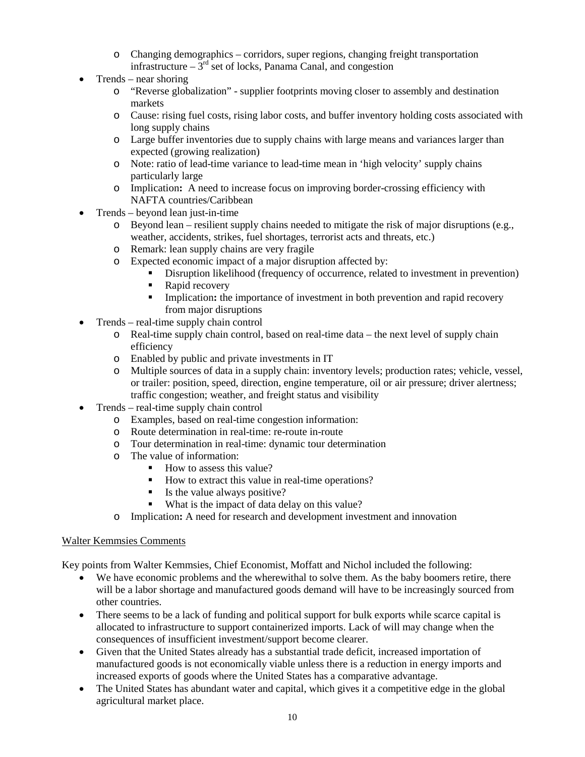- o Changing demographics corridors, super regions, changing freight transportation infrastructure –  $3<sup>rd</sup>$  set of locks, Panama Canal, and congestion
- Trends near shoring
	- o "Reverse globalization" supplier footprints moving closer to assembly and destination markets
	- o Cause: rising fuel costs, rising labor costs, and buffer inventory holding costs associated with long supply chains
	- o Large buffer inventories due to supply chains with large means and variances larger than expected (growing realization)
	- o Note: ratio of lead-time variance to lead-time mean in 'high velocity' supply chains particularly large
	- o Implication**:** A need to increase focus on improving border-crossing efficiency with NAFTA countries/Caribbean
- Trends beyond lean just-in-time
	- o Beyond lean resilient supply chains needed to mitigate the risk of major disruptions (e.g., weather, accidents, strikes, fuel shortages, terrorist acts and threats, etc.)
	- o Remark: lean supply chains are very fragile
	- o Expected economic impact of a major disruption affected by:
		- Disruption likelihood (frequency of occurrence, related to investment in prevention)
		- Rapid recovery
		- Implication: the importance of investment in both prevention and rapid recovery from major disruptions
- Trends real-time supply chain control
	- o Real-time supply chain control, based on real-time data the next level of supply chain efficiency
	- o Enabled by public and private investments in IT
	- o Multiple sources of data in a supply chain: inventory levels; production rates; vehicle, vessel, or trailer: position, speed, direction, engine temperature, oil or air pressure; driver alertness; traffic congestion; weather, and freight status and visibility
- Trends real-time supply chain control
	- o Examples, based on real-time congestion information:
	- o Route determination in real-time: re-route in-route
	- o Tour determination in real-time: dynamic tour determination
	- o The value of information:
		- How to assess this value?
		- How to extract this value in real-time operations?
		- Is the value always positive?
		- What is the impact of data delay on this value?
	- o Implication**:** A need for research and development investment and innovation

#### <span id="page-9-0"></span>Walter Kemmsies Comments

Key points from Walter Kemmsies, Chief Economist, Moffatt and Nichol included the following:

- We have economic problems and the wherewithal to solve them. As the baby boomers retire, there will be a labor shortage and manufactured goods demand will have to be increasingly sourced from other countries.
- There seems to be a lack of funding and political support for bulk exports while scarce capital is allocated to infrastructure to support containerized imports. Lack of will may change when the consequences of insufficient investment/support become clearer.
- Given that the United States already has a substantial trade deficit, increased importation of manufactured goods is not economically viable unless there is a reduction in energy imports and increased exports of goods where the United States has a comparative advantage.
- The United States has abundant water and capital, which gives it a competitive edge in the global agricultural market place.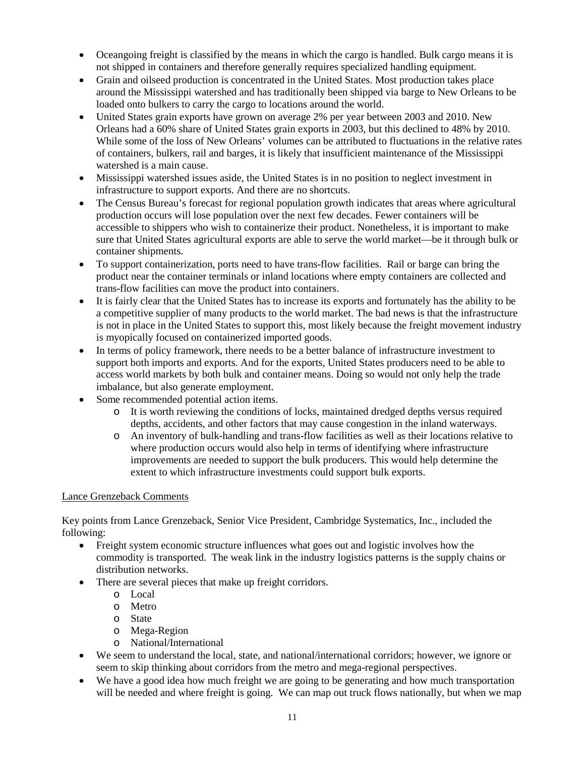- Oceangoing freight is classified by the means in which the cargo is handled. Bulk cargo means it is not shipped in containers and therefore generally requires specialized handling equipment.
- Grain and oilseed production is concentrated in the United States. Most production takes place around the Mississippi watershed and has traditionally been shipped via barge to New Orleans to be loaded onto bulkers to carry the cargo to locations around the world.
- United States grain exports have grown on average 2% per year between 2003 and 2010. New Orleans had a 60% share of United States grain exports in 2003, but this declined to 48% by 2010. While some of the loss of New Orleans' volumes can be attributed to fluctuations in the relative rates of containers, bulkers, rail and barges, it is likely that insufficient maintenance of the Mississippi watershed is a main cause.
- Mississippi watershed issues aside, the United States is in no position to neglect investment in infrastructure to support exports. And there are no shortcuts.
- The Census Bureau's forecast for regional population growth indicates that areas where agricultural production occurs will lose population over the next few decades. Fewer containers will be accessible to shippers who wish to containerize their product. Nonetheless, it is important to make sure that United States agricultural exports are able to serve the world market—be it through bulk or container shipments.
- To support containerization, ports need to have trans-flow facilities. Rail or barge can bring the product near the container terminals or inland locations where empty containers are collected and trans-flow facilities can move the product into containers.
- It is fairly clear that the United States has to increase its exports and fortunately has the ability to be a competitive supplier of many products to the world market. The bad news is that the infrastructure is not in place in the United States to support this, most likely because the freight movement industry is myopically focused on containerized imported goods.
- In terms of policy framework, there needs to be a better balance of infrastructure investment to support both imports and exports. And for the exports, United States producers need to be able to access world markets by both bulk and container means. Doing so would not only help the trade imbalance, but also generate employment.
- Some recommended potential action items.
	- o It is worth reviewing the conditions of locks, maintained dredged depths versus required depths, accidents, and other factors that may cause congestion in the inland waterways.
	- o An inventory of bulk-handling and trans-flow facilities as well as their locations relative to where production occurs would also help in terms of identifying where infrastructure improvements are needed to support the bulk producers. This would help determine the extent to which infrastructure investments could support bulk exports.

## <span id="page-10-0"></span>Lance Grenzeback Comments

Key points from Lance Grenzeback, Senior Vice President, Cambridge Systematics, Inc., included the following:

- Freight system economic structure influences what goes out and logistic involves how the commodity is transported. The weak link in the industry logistics patterns is the supply chains or distribution networks.
- There are several pieces that make up freight corridors.
	- o Local
	- o Metro
	- o State
	- o Mega-Region
	- o National/International
- We seem to understand the local, state, and national/international corridors; however, we ignore or seem to skip thinking about corridors from the metro and mega-regional perspectives.
- We have a good idea how much freight we are going to be generating and how much transportation will be needed and where freight is going. We can map out truck flows nationally, but when we map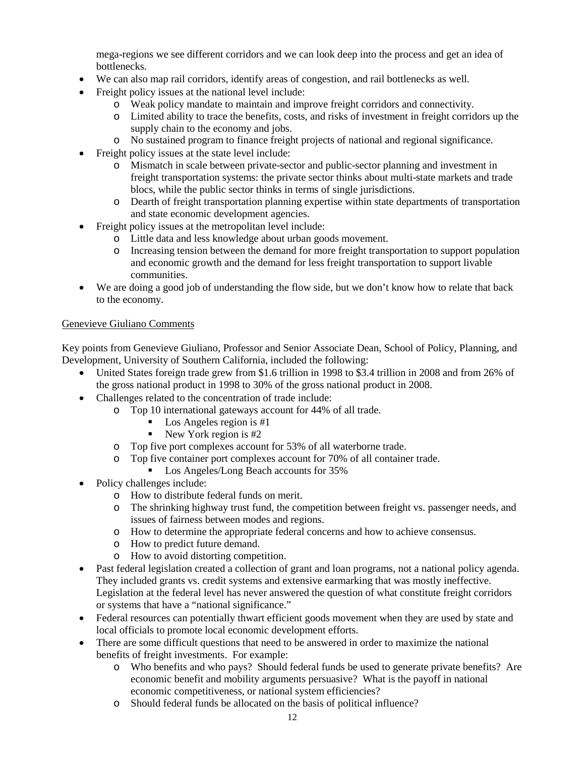mega-regions we see different corridors and we can look deep into the process and get an idea of **bottlenecks** 

- We can also map rail corridors, identify areas of congestion, and rail bottlenecks as well.
- Freight policy issues at the national level include:
	- o Weak policy mandate to maintain and improve freight corridors and connectivity.
	- o Limited ability to trace the benefits, costs, and risks of investment in freight corridors up the supply chain to the economy and jobs.
	- o No sustained program to finance freight projects of national and regional significance.
- Freight policy issues at the state level include:
	- o Mismatch in scale between private-sector and public-sector planning and investment in freight transportation systems: the private sector thinks about multi-state markets and trade blocs, while the public sector thinks in terms of single jurisdictions.
	- o Dearth of freight transportation planning expertise within state departments of transportation and state economic development agencies.
- Freight policy issues at the metropolitan level include:
	- o Little data and less knowledge about urban goods movement.
	- o Increasing tension between the demand for more freight transportation to support population and economic growth and the demand for less freight transportation to support livable communities.
- We are doing a good job of understanding the flow side, but we don't know how to relate that back to the economy.

## <span id="page-11-0"></span>Genevieve Giuliano Comments

Key points from Genevieve Giuliano, Professor and Senior Associate Dean, School of Policy, Planning, and Development, University of Southern California, included the following:

- United States foreign trade grew from \$1.6 trillion in 1998 to \$3.4 trillion in 2008 and from 26% of the gross national product in 1998 to 30% of the gross national product in 2008.
- Challenges related to the concentration of trade include:
	- o Top 10 international gateways account for 44% of all trade.
		- Los Angeles region is  $#1$ <br>■ New York region is  $#2$
		- New York region is #2
	- o Top five port complexes account for 53% of all waterborne trade.
	- o Top five container port complexes account for 70% of all container trade.<br>■ Los Angeles/Long Beach accounts for 35%
	- Los Angeles/Long Beach accounts for 35%
- Policy challenges include:
	- o How to distribute federal funds on merit.
	- o The shrinking highway trust fund, the competition between freight vs. passenger needs, and issues of fairness between modes and regions.
	- o How to determine the appropriate federal concerns and how to achieve consensus.
	- o How to predict future demand.
	- o How to avoid distorting competition.
- Past federal legislation created a collection of grant and loan programs, not a national policy agenda. They included grants vs. credit systems and extensive earmarking that was mostly ineffective. Legislation at the federal level has never answered the question of what constitute freight corridors or systems that have a "national significance."
- Federal resources can potentially thwart efficient goods movement when they are used by state and local officials to promote local economic development efforts.
- There are some difficult questions that need to be answered in order to maximize the national benefits of freight investments. For example:
	- o Who benefits and who pays? Should federal funds be used to generate private benefits? Are economic benefit and mobility arguments persuasive? What is the payoff in national economic competitiveness, or national system efficiencies?
	- o Should federal funds be allocated on the basis of political influence?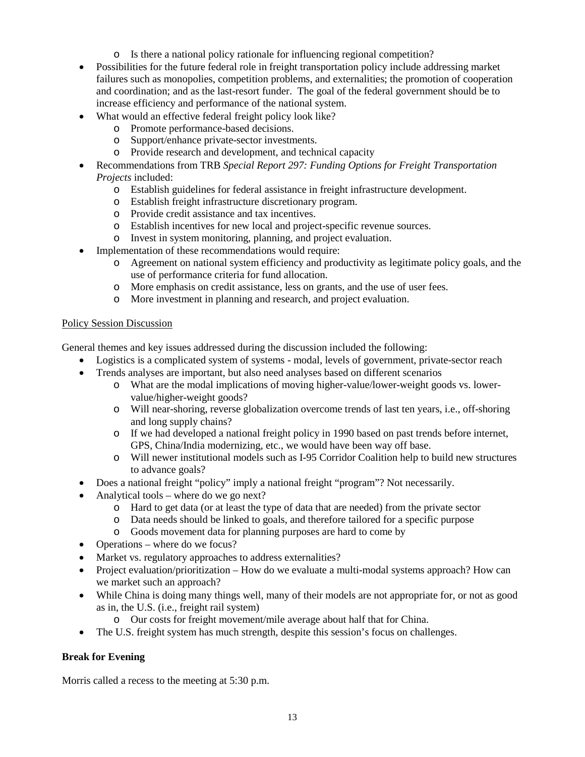- o Is there a national policy rationale for influencing regional competition?
- Possibilities for the future federal role in freight transportation policy include addressing market failures such as monopolies, competition problems, and externalities; the promotion of cooperation and coordination; and as the last-resort funder. The goal of the federal government should be to increase efficiency and performance of the national system.
- What would an effective federal freight policy look like?
	- o Promote performance-based decisions.
	- Support/enhance private-sector investments.
	- o Provide research and development, and technical capacity
- Recommendations from TRB *Special Report 297: Funding Options for Freight Transportation Projects* included:
	- o Establish guidelines for federal assistance in freight infrastructure development.
	- o Establish freight infrastructure discretionary program.
	- o Provide credit assistance and tax incentives.
	- o Establish incentives for new local and project-specific revenue sources.
	- o Invest in system monitoring, planning, and project evaluation.
- Implementation of these recommendations would require:
	- o Agreement on national system efficiency and productivity as legitimate policy goals, and the use of performance criteria for fund allocation.
	- o More emphasis on credit assistance, less on grants, and the use of user fees.
	- o More investment in planning and research, and project evaluation.

## <span id="page-12-0"></span>Policy Session Discussion

General themes and key issues addressed during the discussion included the following:

- Logistics is a complicated system of systems modal, levels of government, private-sector reach
- Trends analyses are important, but also need analyses based on different scenarios
	- o What are the modal implications of moving higher-value/lower-weight goods vs. lowervalue/higher-weight goods?
	- o Will near-shoring, reverse globalization overcome trends of last ten years, i.e., off-shoring and long supply chains?
	- o If we had developed a national freight policy in 1990 based on past trends before internet, GPS, China/India modernizing, etc., we would have been way off base.
	- o Will newer institutional models such as I-95 Corridor Coalition help to build new structures to advance goals?
- Does a national freight "policy" imply a national freight "program"? Not necessarily.
- Analytical tools where do we go next?
	- o Hard to get data (or at least the type of data that are needed) from the private sector
	- o Data needs should be linked to goals, and therefore tailored for a specific purpose
	- o Goods movement data for planning purposes are hard to come by
- Operations where do we focus?
- Market vs. regulatory approaches to address externalities?
- Project evaluation/prioritization How do we evaluate a multi-modal systems approach? How can we market such an approach?
- While China is doing many things well, many of their models are not appropriate for, or not as good as in, the U.S. (i.e., freight rail system)
	- o Our costs for freight movement/mile average about half that for China.
- The U.S. freight system has much strength, despite this session's focus on challenges.

## <span id="page-12-1"></span>**Break for Evening**

Morris called a recess to the meeting at 5:30 p.m.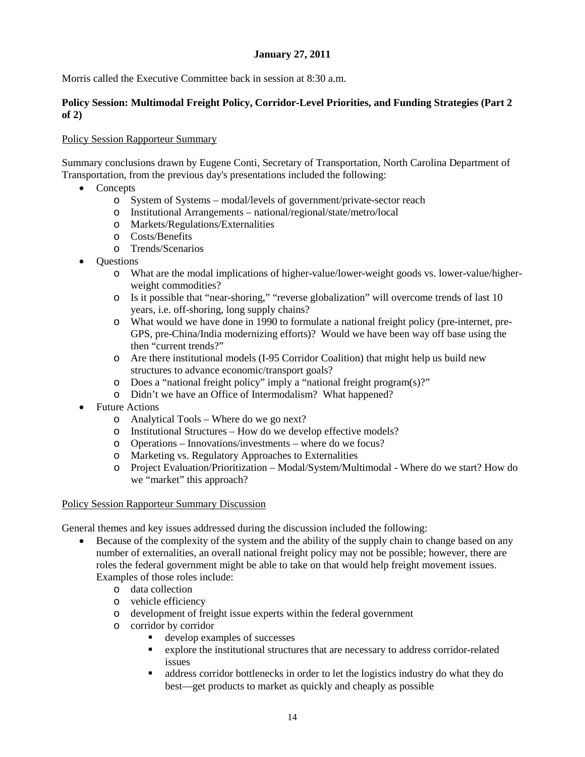## **January 27, 2011**

<span id="page-13-0"></span>Morris called the Executive Committee back in session at 8:30 a.m.

## <span id="page-13-1"></span>**Policy Session: Multimodal Freight Policy, Corridor-Level Priorities, and Funding Strategies (Part 2 of 2)**

### <span id="page-13-2"></span>Policy Session Rapporteur Summary

Summary conclusions drawn by Eugene Conti, Secretary of Transportation, North Carolina Department of Transportation, from the previous day's presentations included the following:

- Concepts
	- o System of Systems modal/levels of government/private-sector reach
	- o Institutional Arrangements national/regional/state/metro/local
	- o Markets/Regulations/Externalities
	- o Costs/Benefits
	- o Trends/Scenarios
- Questions
	- o What are the modal implications of higher-value/lower-weight goods vs. lower-value/higherweight commodities?
	- o Is it possible that "near-shoring," "reverse globalization" will overcome trends of last 10 years, i.e. off-shoring, long supply chains?
	- o What would we have done in 1990 to formulate a national freight policy (pre-internet, pre-GPS, pre-China/India modernizing efforts)? Would we have been way off base using the then "current trends?"
	- o Are there institutional models (I-95 Corridor Coalition) that might help us build new structures to advance economic/transport goals?
	- o Does a "national freight policy" imply a "national freight program(s)?"
	- o Didn't we have an Office of Intermodalism? What happened?
- Future Actions
	- o Analytical Tools Where do we go next?
	- o Institutional Structures How do we develop effective models?
	- o Operations Innovations/investments where do we focus?
	- o Marketing vs. Regulatory Approaches to Externalities
	- o Project Evaluation/Prioritization Modal/System/Multimodal Where do we start? How do we "market" this approach?

#### <span id="page-13-3"></span>Policy Session Rapporteur Summary Discussion

General themes and key issues addressed during the discussion included the following:

- Because of the complexity of the system and the ability of the supply chain to change based on any number of externalities, an overall national freight policy may not be possible; however, there are roles the federal government might be able to take on that would help freight movement issues. Examples of those roles include:
	- o data collection
	- o vehicle efficiency
	- o development of freight issue experts within the federal government
	- o corridor by corridor
		- develop examples of successes
		- explore the institutional structures that are necessary to address corridor-related issues
		- address corridor bottlenecks in order to let the logistics industry do what they do best—get products to market as quickly and cheaply as possible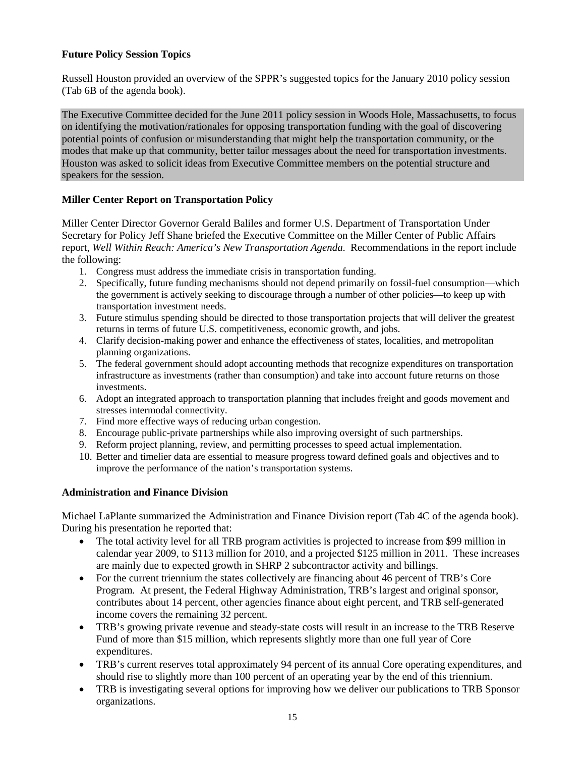## <span id="page-14-0"></span>**Future Policy Session Topics**

Russell Houston provided an overview of the SPPR's suggested topics for the January 2010 policy session (Tab 6B of the agenda book).

The Executive Committee decided for the June 2011 policy session in Woods Hole, Massachusetts, to focus on identifying the motivation/rationales for opposing transportation funding with the goal of discovering potential points of confusion or misunderstanding that might help the transportation community, or the modes that make up that community, better tailor messages about the need for transportation investments. Houston was asked to solicit ideas from Executive Committee members on the potential structure and speakers for the session.

## <span id="page-14-1"></span>**Miller Center Report on Transportation Policy**

Miller Center Director Governor Gerald Baliles and former U.S. Department of Transportation Under Secretary for Policy Jeff Shane briefed the Executive Committee on the Miller Center of Public Affairs report, *Well Within Reach: America's New Transportation Agenda*. Recommendations in the report include the following:

- 1. Congress must address the immediate crisis in transportation funding.
- 2. Specifically, future funding mechanisms should not depend primarily on fossil-fuel consumption—which the government is actively seeking to discourage through a number of other policies—to keep up with transportation investment needs.
- 3. Future stimulus spending should be directed to those transportation projects that will deliver the greatest returns in terms of future U.S. competitiveness, economic growth, and jobs.
- 4. Clarify decision-making power and enhance the effectiveness of states, localities, and metropolitan planning organizations.
- 5. The federal government should adopt accounting methods that recognize expenditures on transportation infrastructure as investments (rather than consumption) and take into account future returns on those investments.
- 6. Adopt an integrated approach to transportation planning that includes freight and goods movement and stresses intermodal connectivity.
- 7. Find more effective ways of reducing urban congestion.
- 8. Encourage public-private partnerships while also improving oversight of such partnerships.
- 9. Reform project planning, review, and permitting processes to speed actual implementation.
- 10. Better and timelier data are essential to measure progress toward defined goals and objectives and to improve the performance of the nation's transportation systems.

#### <span id="page-14-2"></span>**Administration and Finance Division**

Michael LaPlante summarized the Administration and Finance Division report (Tab 4C of the agenda book). During his presentation he reported that:

- The total activity level for all TRB program activities is projected to increase from \$99 million in calendar year 2009, to \$113 million for 2010, and a projected \$125 million in 2011. These increases are mainly due to expected growth in SHRP 2 subcontractor activity and billings.
- For the current triennium the states collectively are financing about 46 percent of TRB's Core Program. At present, the Federal Highway Administration, TRB's largest and original sponsor, contributes about 14 percent, other agencies finance about eight percent, and TRB self-generated income covers the remaining 32 percent.
- TRB's growing private revenue and steady-state costs will result in an increase to the TRB Reserve Fund of more than \$15 million, which represents slightly more than one full year of Core expenditures.
- TRB's current reserves total approximately 94 percent of its annual Core operating expenditures, and should rise to slightly more than 100 percent of an operating year by the end of this triennium.
- TRB is investigating several options for improving how we deliver our publications to TRB Sponsor organizations.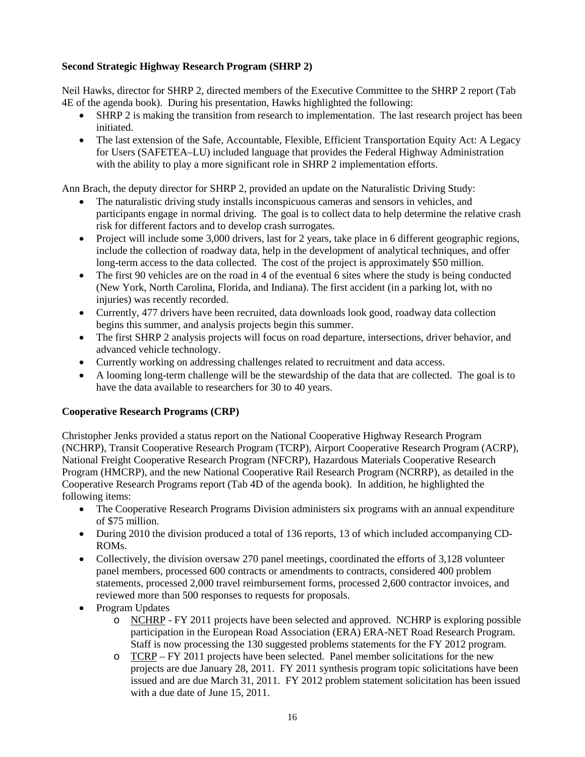## <span id="page-15-0"></span>**Second Strategic Highway Research Program (SHRP 2)**

Neil Hawks, director for SHRP 2, directed members of the Executive Committee to the SHRP 2 report (Tab 4E of the agenda book). During his presentation, Hawks highlighted the following:

- SHRP 2 is making the transition from research to implementation. The last research project has been initiated.
- The last extension of the Safe, Accountable, Flexible, Efficient Transportation Equity Act: A Legacy for Users (SAFETEA–LU) included language that provides the Federal Highway Administration with the ability to play a more significant role in SHRP 2 implementation efforts.

Ann Brach, the deputy director for SHRP 2, provided an update on the Naturalistic Driving Study:

- The naturalistic driving study installs inconspicuous cameras and sensors in vehicles, and participants engage in normal driving. The goal is to collect data to help determine the relative crash risk for different factors and to develop crash surrogates.
- Project will include some 3,000 drivers, last for 2 years, take place in 6 different geographic regions, include the collection of roadway data, help in the development of analytical techniques, and offer long-term access to the data collected. The cost of the project is approximately \$50 million.
- The first 90 vehicles are on the road in 4 of the eventual 6 sites where the study is being conducted (New York, North Carolina, Florida, and Indiana). The first accident (in a parking lot, with no injuries) was recently recorded.
- Currently, 477 drivers have been recruited, data downloads look good, roadway data collection begins this summer, and analysis projects begin this summer.
- The first SHRP 2 analysis projects will focus on road departure, intersections, driver behavior, and advanced vehicle technology.
- Currently working on addressing challenges related to recruitment and data access.
- A looming long-term challenge will be the stewardship of the data that are collected. The goal is to have the data available to researchers for 30 to 40 years.

## <span id="page-15-1"></span>**Cooperative Research Programs (CRP)**

Christopher Jenks provided a status report on the National Cooperative Highway Research Program (NCHRP), Transit Cooperative Research Program (TCRP), Airport Cooperative Research Program (ACRP), National Freight Cooperative Research Program (NFCRP), Hazardous Materials Cooperative Research Program (HMCRP), and the new National Cooperative Rail Research Program (NCRRP), as detailed in the Cooperative Research Programs report (Tab 4D of the agenda book). In addition, he highlighted the following items:

- The Cooperative Research Programs Division administers six programs with an annual expenditure of \$75 million.
- During 2010 the division produced a total of 136 reports, 13 of which included accompanying CD-ROMs.
- Collectively, the division oversaw 270 panel meetings, coordinated the efforts of 3,128 volunteer panel members, processed 600 contracts or amendments to contracts, considered 400 problem statements, processed 2,000 travel reimbursement forms, processed 2,600 contractor invoices, and reviewed more than 500 responses to requests for proposals.
- Program Updates
	- o NCHRP FY 2011 projects have been selected and approved. NCHRP is exploring possible participation in the European Road Association (ERA) ERA-NET Road Research Program. Staff is now processing the 130 suggested problems statements for the FY 2012 program.
	- o TCRP FY 2011 projects have been selected. Panel member solicitations for the new projects are due January 28, 2011. FY 2011 synthesis program topic solicitations have been issued and are due March 31, 2011. FY 2012 problem statement solicitation has been issued with a due date of June 15, 2011.